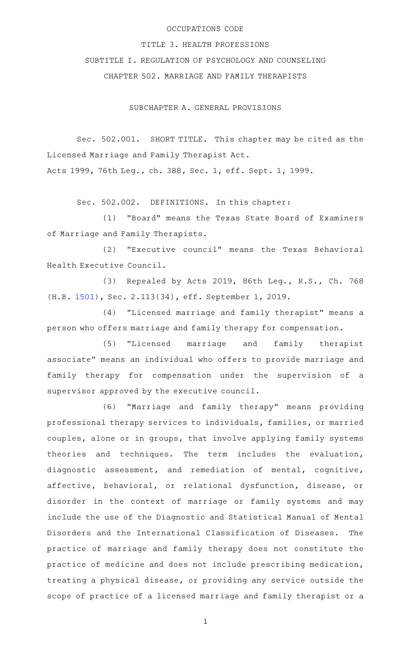## OCCUPATIONS CODE

# TITLE 3. HEALTH PROFESSIONS

SUBTITLE I. REGULATION OF PSYCHOLOGY AND COUNSELING

CHAPTER 502. MARRIAGE AND FAMILY THERAPISTS

SUBCHAPTER A. GENERAL PROVISIONS

Sec. 502.001. SHORT TITLE. This chapter may be cited as the Licensed Marriage and Family Therapist Act. Acts 1999, 76th Leg., ch. 388, Sec. 1, eff. Sept. 1, 1999.

Sec. 502.002. DEFINITIONS. In this chapter:

(1) "Board" means the Texas State Board of Examiners of Marriage and Family Therapists.

(2) "Executive council" means the Texas Behavioral Health Executive Council.

(3) Repealed by Acts 2019, 86th Leg., R.S., Ch. 768 (H.B. [1501\)](http://www.legis.state.tx.us/tlodocs/86R/billtext/html/HB01501F.HTM), Sec. 2.113(34), eff. September 1, 2019.

(4) "Licensed marriage and family therapist" means a person who offers marriage and family therapy for compensation.

(5) "Licensed marriage and family therapist associate" means an individual who offers to provide marriage and family therapy for compensation under the supervision of a supervisor approved by the executive council.

(6) "Marriage and family therapy" means providing professional therapy services to individuals, families, or married couples, alone or in groups, that involve applying family systems theories and techniques. The term includes the evaluation, diagnostic assessment, and remediation of mental, cognitive, affective, behavioral, or relational dysfunction, disease, or disorder in the context of marriage or family systems and may include the use of the Diagnostic and Statistical Manual of Mental Disorders and the International Classification of Diseases. The practice of marriage and family therapy does not constitute the practice of medicine and does not include prescribing medication, treating a physical disease, or providing any service outside the scope of practice of a licensed marriage and family therapist or a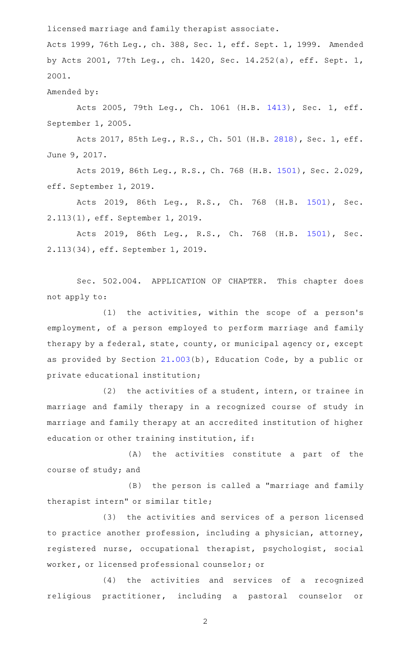licensed marriage and family therapist associate.

Acts 1999, 76th Leg., ch. 388, Sec. 1, eff. Sept. 1, 1999. Amended by Acts 2001, 77th Leg., ch. 1420, Sec. 14.252(a), eff. Sept. 1, 2001.

Amended by:

Acts 2005, 79th Leg., Ch. 1061 (H.B. [1413](http://www.legis.state.tx.us/tlodocs/79R/billtext/html/HB01413F.HTM)), Sec. 1, eff. September 1, 2005.

Acts 2017, 85th Leg., R.S., Ch. 501 (H.B. [2818](http://www.legis.state.tx.us/tlodocs/85R/billtext/html/HB02818F.HTM)), Sec. 1, eff. June 9, 2017.

Acts 2019, 86th Leg., R.S., Ch. 768 (H.B. [1501\)](http://www.legis.state.tx.us/tlodocs/86R/billtext/html/HB01501F.HTM), Sec. 2.029, eff. September 1, 2019.

Acts 2019, 86th Leg., R.S., Ch. 768 (H.B. [1501\)](http://www.legis.state.tx.us/tlodocs/86R/billtext/html/HB01501F.HTM), Sec. 2.113(1), eff. September 1, 2019.

Acts 2019, 86th Leg., R.S., Ch. 768 (H.B. [1501\)](http://www.legis.state.tx.us/tlodocs/86R/billtext/html/HB01501F.HTM), Sec. 2.113(34), eff. September 1, 2019.

Sec. 502.004. APPLICATION OF CHAPTER. This chapter does not apply to:

 $(1)$  the activities, within the scope of a person's employment, of a person employed to perform marriage and family therapy by a federal, state, county, or municipal agency or, except as provided by Section [21.003](http://www.statutes.legis.state.tx.us/GetStatute.aspx?Code=ED&Value=21.003)(b), Education Code, by a public or private educational institution;

 $(2)$  the activities of a student, intern, or trainee in marriage and family therapy in a recognized course of study in marriage and family therapy at an accredited institution of higher education or other training institution, if:

(A) the activities constitute a part of the course of study; and

(B) the person is called a "marriage and family therapist intern" or similar title;

(3) the activities and services of a person licensed to practice another profession, including a physician, attorney, registered nurse, occupational therapist, psychologist, social worker, or licensed professional counselor; or

(4) the activities and services of a recognized religious practitioner, including a pastoral counselor or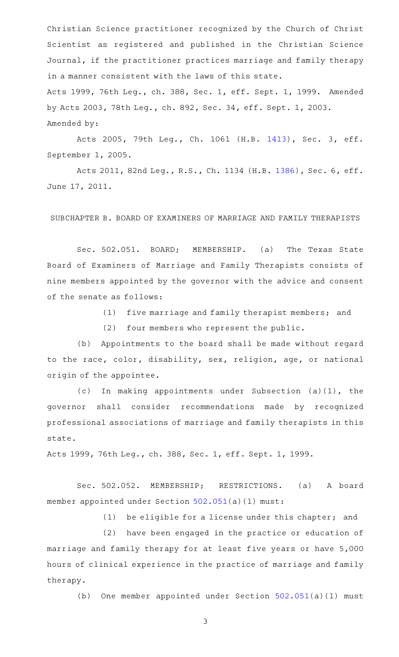Christian Science practitioner recognized by the Church of Christ Scientist as registered and published in the Christian Science Journal, if the practitioner practices marriage and family therapy in a manner consistent with the laws of this state. Acts 1999, 76th Leg., ch. 388, Sec. 1, eff. Sept. 1, 1999. Amended by Acts 2003, 78th Leg., ch. 892, Sec. 34, eff. Sept. 1, 2003. Amended by:

Acts 2005, 79th Leg., Ch. 1061 (H.B. [1413](http://www.legis.state.tx.us/tlodocs/79R/billtext/html/HB01413F.HTM)), Sec. 3, eff. September 1, 2005.

Acts 2011, 82nd Leg., R.S., Ch. 1134 (H.B. [1386](http://www.legis.state.tx.us/tlodocs/82R/billtext/html/HB01386F.HTM)), Sec. 6, eff. June 17, 2011.

SUBCHAPTER B. BOARD OF EXAMINERS OF MARRIAGE AND FAMILY THERAPISTS

Sec. 502.051. BOARD; MEMBERSHIP. (a) The Texas State Board of Examiners of Marriage and Family Therapists consists of nine members appointed by the governor with the advice and consent of the senate as follows:

(1) five marriage and family therapist members; and

(2) four members who represent the public.

(b) Appointments to the board shall be made without regard to the race, color, disability, sex, religion, age, or national origin of the appointee.

(c) In making appointments under Subsection  $(a)(1)$ , the governor shall consider recommendations made by recognized professional associations of marriage and family therapists in this state.

Acts 1999, 76th Leg., ch. 388, Sec. 1, eff. Sept. 1, 1999.

Sec. 502.052. MEMBERSHIP; RESTRICTIONS. (a) A board member appointed under Section [502.051\(](http://www.statutes.legis.state.tx.us/GetStatute.aspx?Code=OC&Value=502.051)a)(1) must:

(1) be eligible for a license under this chapter; and

(2) have been engaged in the practice or education of marriage and family therapy for at least five years or have 5,000 hours of clinical experience in the practice of marriage and family therapy.

(b) One member appointed under Section  $502.051(a)(1)$  $502.051(a)(1)$  must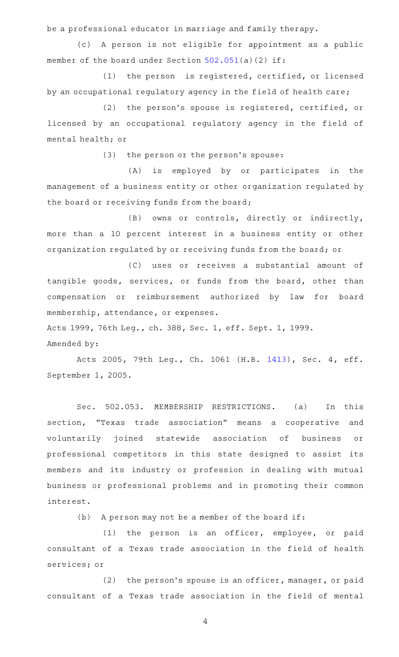be a professional educator in marriage and family therapy.

(c)AAA person is not eligible for appointment as a public member of the board under Section [502.051](http://www.statutes.legis.state.tx.us/GetStatute.aspx?Code=OC&Value=502.051)(a)(2) if:

(1) the person is registered, certified, or licensed by an occupational regulatory agency in the field of health care;

(2) the person's spouse is registered, certified, or licensed by an occupational regulatory agency in the field of mental health; or

(3) the person or the person's spouse:

(A) is employed by or participates in the management of a business entity or other organization regulated by the board or receiving funds from the board;

(B) owns or controls, directly or indirectly, more than a 10 percent interest in a business entity or other organization regulated by or receiving funds from the board; or

(C) uses or receives a substantial amount of tangible goods, services, or funds from the board, other than compensation or reimbursement authorized by law for board membership, attendance, or expenses.

Acts 1999, 76th Leg., ch. 388, Sec. 1, eff. Sept. 1, 1999.

#### Amended by:

Acts 2005, 79th Leg., Ch. 1061 (H.B. [1413](http://www.legis.state.tx.us/tlodocs/79R/billtext/html/HB01413F.HTM)), Sec. 4, eff. September 1, 2005.

Sec. 502.053. MEMBERSHIP RESTRICTIONS. (a) In this section, "Texas trade association" means a cooperative and voluntarily joined statewide association of business or professional competitors in this state designed to assist its members and its industry or profession in dealing with mutual business or professional problems and in promoting their common interest.

(b) A person may not be a member of the board if:

(1) the person is an officer, employee, or paid consultant of a Texas trade association in the field of health services; or

 $(2)$  the person's spouse is an officer, manager, or paid consultant of a Texas trade association in the field of mental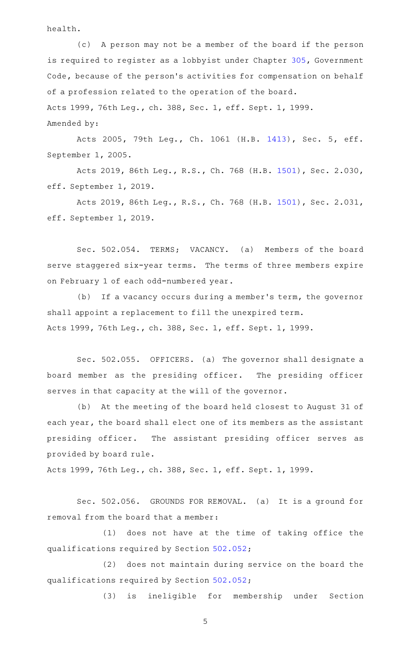health.

(c) A person may not be a member of the board if the person is required to register as a lobbyist under Chapter [305](http://www.statutes.legis.state.tx.us/GetStatute.aspx?Code=GV&Value=305), Government Code, because of the person's activities for compensation on behalf of a profession related to the operation of the board. Acts 1999, 76th Leg., ch. 388, Sec. 1, eff. Sept. 1, 1999. Amended by:

Acts 2005, 79th Leg., Ch. 1061 (H.B. [1413](http://www.legis.state.tx.us/tlodocs/79R/billtext/html/HB01413F.HTM)), Sec. 5, eff. September 1, 2005.

Acts 2019, 86th Leg., R.S., Ch. 768 (H.B. [1501\)](http://www.legis.state.tx.us/tlodocs/86R/billtext/html/HB01501F.HTM), Sec. 2.030, eff. September 1, 2019.

Acts 2019, 86th Leg., R.S., Ch. 768 (H.B. [1501\)](http://www.legis.state.tx.us/tlodocs/86R/billtext/html/HB01501F.HTM), Sec. 2.031, eff. September 1, 2019.

Sec. 502.054. TERMS; VACANCY. (a) Members of the board serve staggered six-year terms. The terms of three members expire on February 1 of each odd-numbered year.

(b) If a vacancy occurs during a member's term, the governor shall appoint a replacement to fill the unexpired term. Acts 1999, 76th Leg., ch. 388, Sec. 1, eff. Sept. 1, 1999.

Sec. 502.055. OFFICERS. (a) The governor shall designate a board member as the presiding officer. The presiding officer serves in that capacity at the will of the governor.

(b) At the meeting of the board held closest to August 31 of each year, the board shall elect one of its members as the assistant presiding officer. The assistant presiding officer serves as provided by board rule.

Acts 1999, 76th Leg., ch. 388, Sec. 1, eff. Sept. 1, 1999.

Sec. 502.056. GROUNDS FOR REMOVAL. (a) It is a ground for removal from the board that a member:

(1) does not have at the time of taking office the qualifications required by Section [502.052;](http://www.statutes.legis.state.tx.us/GetStatute.aspx?Code=OC&Value=502.052)

(2) does not maintain during service on the board the qualifications required by Section [502.052;](http://www.statutes.legis.state.tx.us/GetStatute.aspx?Code=OC&Value=502.052)

(3) is ineligible for membership under Section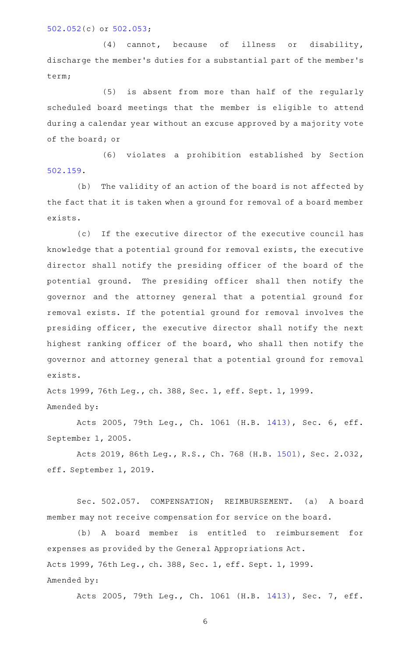## [502.052\(](http://www.statutes.legis.state.tx.us/GetStatute.aspx?Code=OC&Value=502.052)c) or [502.053](http://www.statutes.legis.state.tx.us/GetStatute.aspx?Code=OC&Value=502.053);

(4) cannot, because of illness or disability, discharge the member 's duties for a substantial part of the member 's term;

(5) is absent from more than half of the regularly scheduled board meetings that the member is eligible to attend during a calendar year without an excuse approved by a majority vote of the board; or

(6) violates a prohibition established by Section [502.159.](http://www.statutes.legis.state.tx.us/GetStatute.aspx?Code=OC&Value=502.159)

(b) The validity of an action of the board is not affected by the fact that it is taken when a ground for removal of a board member exists.

(c) If the executive director of the executive council has knowledge that a potential ground for removal exists, the executive director shall notify the presiding officer of the board of the potential ground. The presiding officer shall then notify the governor and the attorney general that a potential ground for removal exists. If the potential ground for removal involves the presiding officer, the executive director shall notify the next highest ranking officer of the board, who shall then notify the governor and attorney general that a potential ground for removal exists.

Acts 1999, 76th Leg., ch. 388, Sec. 1, eff. Sept. 1, 1999. Amended by:

Acts 2005, 79th Leg., Ch. 1061 (H.B. [1413](http://www.legis.state.tx.us/tlodocs/79R/billtext/html/HB01413F.HTM)), Sec. 6, eff. September 1, 2005.

Acts 2019, 86th Leg., R.S., Ch. 768 (H.B. [1501\)](http://www.legis.state.tx.us/tlodocs/86R/billtext/html/HB01501F.HTM), Sec. 2.032, eff. September 1, 2019.

Sec. 502.057. COMPENSATION; REIMBURSEMENT. (a) A board member may not receive compensation for service on the board.

(b) A board member is entitled to reimbursement for expenses as provided by the General Appropriations Act. Acts 1999, 76th Leg., ch. 388, Sec. 1, eff. Sept. 1, 1999. Amended by:

Acts 2005, 79th Leg., Ch. 1061 (H.B. [1413](http://www.legis.state.tx.us/tlodocs/79R/billtext/html/HB01413F.HTM)), Sec. 7, eff.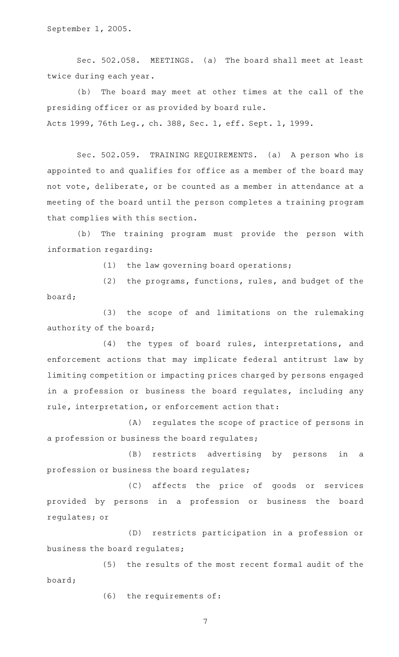Sec. 502.058. MEETINGS. (a) The board shall meet at least twice during each year.

(b) The board may meet at other times at the call of the presiding officer or as provided by board rule. Acts 1999, 76th Leg., ch. 388, Sec. 1, eff. Sept. 1, 1999.

Sec. 502.059. TRAINING REQUIREMENTS. (a) A person who is appointed to and qualifies for office as a member of the board may not vote, deliberate, or be counted as a member in attendance at a meeting of the board until the person completes a training program that complies with this section.

(b) The training program must provide the person with information regarding:

 $(1)$  the law governing board operations;

(2) the programs, functions, rules, and budget of the board;

(3) the scope of and limitations on the rulemaking authority of the board;

(4) the types of board rules, interpretations, and enforcement actions that may implicate federal antitrust law by limiting competition or impacting prices charged by persons engaged in a profession or business the board regulates, including any rule, interpretation, or enforcement action that:

(A) regulates the scope of practice of persons in a profession or business the board regulates;

(B) restricts advertising by persons in a profession or business the board regulates;

(C) affects the price of goods or services provided by persons in a profession or business the board regulates; or

(D) restricts participation in a profession or business the board regulates;

(5) the results of the most recent formal audit of the board;

 $(6)$  the requirements of: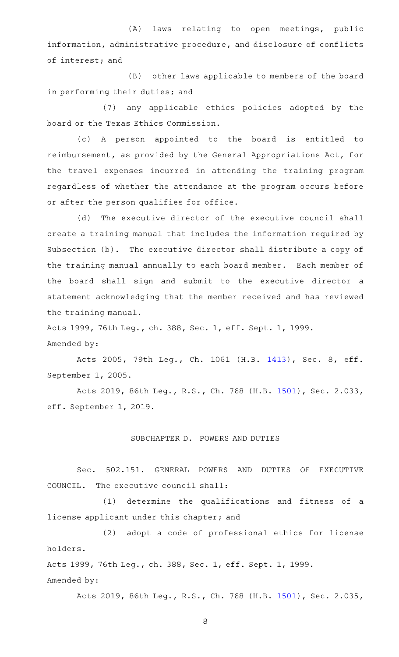(A) laws relating to open meetings, public information, administrative procedure, and disclosure of conflicts of interest; and

(B) other laws applicable to members of the board in performing their duties; and

(7) any applicable ethics policies adopted by the board or the Texas Ethics Commission.

(c)AAA person appointed to the board is entitled to reimbursement, as provided by the General Appropriations Act, for the travel expenses incurred in attending the training program regardless of whether the attendance at the program occurs before or after the person qualifies for office.

(d) The executive director of the executive council shall create a training manual that includes the information required by Subsection (b). The executive director shall distribute a copy of the training manual annually to each board member. Each member of the board shall sign and submit to the executive director a statement acknowledging that the member received and has reviewed the training manual.

Acts 1999, 76th Leg., ch. 388, Sec. 1, eff. Sept. 1, 1999. Amended by:

Acts 2005, 79th Leg., Ch. 1061 (H.B. [1413](http://www.legis.state.tx.us/tlodocs/79R/billtext/html/HB01413F.HTM)), Sec. 8, eff. September 1, 2005.

Acts 2019, 86th Leg., R.S., Ch. 768 (H.B. [1501\)](http://www.legis.state.tx.us/tlodocs/86R/billtext/html/HB01501F.HTM), Sec. 2.033, eff. September 1, 2019.

#### SUBCHAPTER D. POWERS AND DUTIES

Sec. 502.151. GENERAL POWERS AND DUTIES OF EXECUTIVE COUNCIL. The executive council shall:

(1) determine the qualifications and fitness of a license applicant under this chapter; and

(2) adopt a code of professional ethics for license holders.

Acts 1999, 76th Leg., ch. 388, Sec. 1, eff. Sept. 1, 1999.

Amended by:

Acts 2019, 86th Leg., R.S., Ch. 768 (H.B. [1501\)](http://www.legis.state.tx.us/tlodocs/86R/billtext/html/HB01501F.HTM), Sec. 2.035,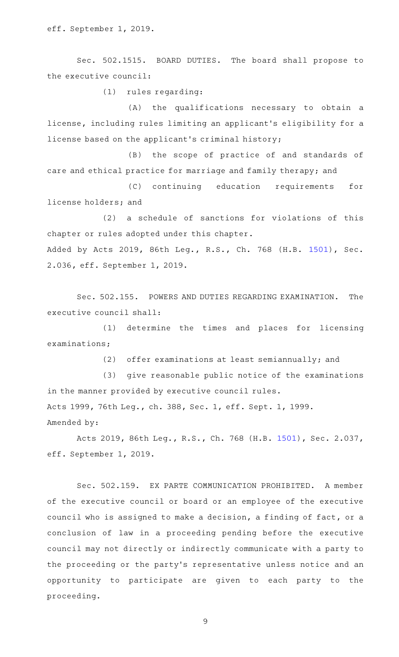eff. September 1, 2019.

Sec. 502.1515. BOARD DUTIES. The board shall propose to the executive council:

(1) rules regarding:

(A) the qualifications necessary to obtain a license, including rules limiting an applicant 's eligibility for a license based on the applicant 's criminal history;

(B) the scope of practice of and standards of care and ethical practice for marriage and family therapy; and

(C) continuing education requirements for license holders; and

(2) a schedule of sanctions for violations of this chapter or rules adopted under this chapter. Added by Acts 2019, 86th Leg., R.S., Ch. 768 (H.B. [1501](http://www.legis.state.tx.us/tlodocs/86R/billtext/html/HB01501F.HTM)), Sec. 2.036, eff. September 1, 2019.

Sec. 502.155. POWERS AND DUTIES REGARDING EXAMINATION. The executive council shall:

(1) determine the times and places for licensing examinations;

(2) offer examinations at least semiannually; and

(3) give reasonable public notice of the examinations in the manner provided by executive council rules. Acts 1999, 76th Leg., ch. 388, Sec. 1, eff. Sept. 1, 1999.

Amended by:

Acts 2019, 86th Leg., R.S., Ch. 768 (H.B. [1501\)](http://www.legis.state.tx.us/tlodocs/86R/billtext/html/HB01501F.HTM), Sec. 2.037, eff. September 1, 2019.

Sec. 502.159. EX PARTE COMMUNICATION PROHIBITED. A member of the executive council or board or an employee of the executive council who is assigned to make a decision, a finding of fact, or a conclusion of law in a proceeding pending before the executive council may not directly or indirectly communicate with a party to the proceeding or the party 's representative unless notice and an opportunity to participate are given to each party to the proceeding.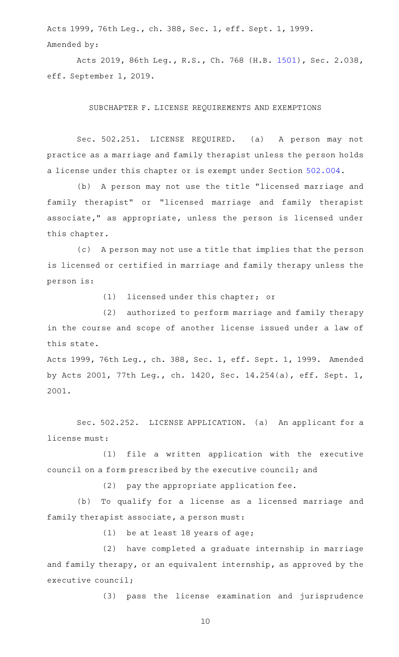Acts 1999, 76th Leg., ch. 388, Sec. 1, eff. Sept. 1, 1999. Amended by:

Acts 2019, 86th Leg., R.S., Ch. 768 (H.B. [1501\)](http://www.legis.state.tx.us/tlodocs/86R/billtext/html/HB01501F.HTM), Sec. 2.038, eff. September 1, 2019.

SUBCHAPTER F. LICENSE REQUIREMENTS AND EXEMPTIONS

Sec. 502.251. LICENSE REQUIRED. (a) A person may not practice as a marriage and family therapist unless the person holds a license under this chapter or is exempt under Section [502.004](http://www.statutes.legis.state.tx.us/GetStatute.aspx?Code=OC&Value=502.004).

(b) A person may not use the title "licensed marriage and family therapist" or "licensed marriage and family therapist associate," as appropriate, unless the person is licensed under this chapter.

(c) A person may not use a title that implies that the person is licensed or certified in marriage and family therapy unless the person is:

 $(1)$  licensed under this chapter; or

(2) authorized to perform marriage and family therapy in the course and scope of another license issued under a law of this state.

Acts 1999, 76th Leg., ch. 388, Sec. 1, eff. Sept. 1, 1999. Amended by Acts 2001, 77th Leg., ch. 1420, Sec. 14.254(a), eff. Sept. 1, 2001.

Sec. 502.252. LICENSE APPLICATION. (a) An applicant for a license must:

(1) file a written application with the executive council on a form prescribed by the executive council; and

 $(2)$  pay the appropriate application fee.

(b) To qualify for a license as a licensed marriage and family therapist associate, a person must:

 $(1)$  be at least 18 years of age;

(2) have completed a graduate internship in marriage and family therapy, or an equivalent internship, as approved by the executive council;

(3) pass the license examination and jurisprudence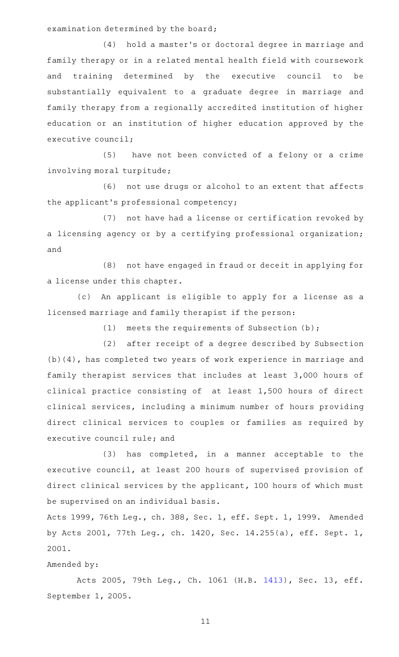examination determined by the board;

(4) hold a master's or doctoral degree in marriage and family therapy or in a related mental health field with coursework and training determined by the executive council to be substantially equivalent to a graduate degree in marriage and family therapy from a regionally accredited institution of higher education or an institution of higher education approved by the executive council;

(5) have not been convicted of a felony or a crime involving moral turpitude;

(6) not use drugs or alcohol to an extent that affects the applicant 's professional competency;

(7) not have had a license or certification revoked by a licensing agency or by a certifying professional organization; and

(8) not have engaged in fraud or deceit in applying for a license under this chapter.

(c) An applicant is eligible to apply for a license as a licensed marriage and family therapist if the person:

(1) meets the requirements of Subsection  $(b)$ ;

(2) after receipt of a degree described by Subsection (b)(4), has completed two years of work experience in marriage and family therapist services that includes at least 3,000 hours of clinical practice consisting of at least 1,500 hours of direct clinical services, including a minimum number of hours providing direct clinical services to couples or families as required by executive council rule; and

(3) has completed, in a manner acceptable to the executive council, at least 200 hours of supervised provision of direct clinical services by the applicant, 100 hours of which must be supervised on an individual basis.

Acts 1999, 76th Leg., ch. 388, Sec. 1, eff. Sept. 1, 1999. Amended by Acts 2001, 77th Leg., ch. 1420, Sec. 14.255(a), eff. Sept. 1, 2001.

### Amended by:

Acts 2005, 79th Leg., Ch. 1061 (H.B. [1413](http://www.legis.state.tx.us/tlodocs/79R/billtext/html/HB01413F.HTM)), Sec. 13, eff. September 1, 2005.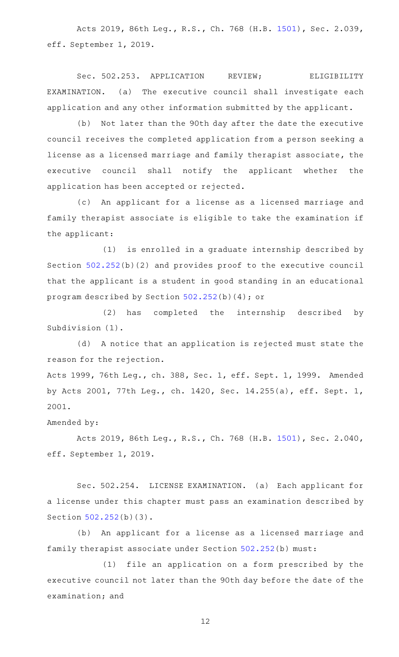Acts 2019, 86th Leg., R.S., Ch. 768 (H.B. [1501\)](http://www.legis.state.tx.us/tlodocs/86R/billtext/html/HB01501F.HTM), Sec. 2.039, eff. September 1, 2019.

Sec. 502.253. APPLICATION REVIEW; ELIGIBILITY  $EXAMPLEXAMINATION.$  (a) The executive council shall investigate each application and any other information submitted by the applicant.

(b) Not later than the 90th day after the date the executive council receives the completed application from a person seeking a license as a licensed marriage and family therapist associate, the executive council shall notify the applicant whether the application has been accepted or rejected.

(c) An applicant for a license as a licensed marriage and family therapist associate is eligible to take the examination if the applicant:

(1) is enrolled in a graduate internship described by Section [502.252\(](http://www.statutes.legis.state.tx.us/GetStatute.aspx?Code=OC&Value=502.252)b)(2) and provides proof to the executive council that the applicant is a student in good standing in an educational program described by Section [502.252\(](http://www.statutes.legis.state.tx.us/GetStatute.aspx?Code=OC&Value=502.252)b)(4); or

(2) has completed the internship described by Subdivision (1).

(d) A notice that an application is rejected must state the reason for the rejection.

Acts 1999, 76th Leg., ch. 388, Sec. 1, eff. Sept. 1, 1999. Amended by Acts 2001, 77th Leg., ch. 1420, Sec. 14.255(a), eff. Sept. 1, 2001.

## Amended by:

Acts 2019, 86th Leg., R.S., Ch. 768 (H.B. [1501\)](http://www.legis.state.tx.us/tlodocs/86R/billtext/html/HB01501F.HTM), Sec. 2.040, eff. September 1, 2019.

Sec. 502.254. LICENSE EXAMINATION. (a) Each applicant for a license under this chapter must pass an examination described by Section [502.252\(](http://www.statutes.legis.state.tx.us/GetStatute.aspx?Code=OC&Value=502.252)b)(3).

(b) An applicant for a license as a licensed marriage and family therapist associate under Section [502.252\(](http://www.statutes.legis.state.tx.us/GetStatute.aspx?Code=OC&Value=502.252)b) must:

(1) file an application on a form prescribed by the executive council not later than the 90th day before the date of the examination; and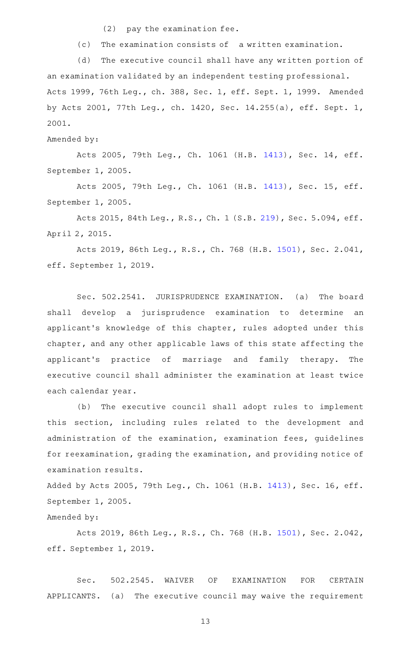$(2)$  pay the examination fee.

(c) The examination consists of a written examination.

(d) The executive council shall have any written portion of an examination validated by an independent testing professional. Acts 1999, 76th Leg., ch. 388, Sec. 1, eff. Sept. 1, 1999. Amended by Acts 2001, 77th Leg., ch. 1420, Sec. 14.255(a), eff. Sept. 1, 2001.

Amended by:

Acts 2005, 79th Leg., Ch. 1061 (H.B. [1413](http://www.legis.state.tx.us/tlodocs/79R/billtext/html/HB01413F.HTM)), Sec. 14, eff. September 1, 2005.

Acts 2005, 79th Leg., Ch. 1061 (H.B. [1413](http://www.legis.state.tx.us/tlodocs/79R/billtext/html/HB01413F.HTM)), Sec. 15, eff. September 1, 2005.

Acts 2015, 84th Leg., R.S., Ch. 1 (S.B. [219](http://www.legis.state.tx.us/tlodocs/84R/billtext/html/SB00219F.HTM)), Sec. 5.094, eff. April 2, 2015.

Acts 2019, 86th Leg., R.S., Ch. 768 (H.B. [1501\)](http://www.legis.state.tx.us/tlodocs/86R/billtext/html/HB01501F.HTM), Sec. 2.041, eff. September 1, 2019.

Sec. 502.2541. JURISPRUDENCE EXAMINATION. (a) The board shall develop a jurisprudence examination to determine an applicant 's knowledge of this chapter, rules adopted under this chapter, and any other applicable laws of this state affecting the applicant's practice of marriage and family therapy. The executive council shall administer the examination at least twice each calendar year.

(b) The executive council shall adopt rules to implement this section, including rules related to the development and administration of the examination, examination fees, guidelines for reexamination, grading the examination, and providing notice of examination results.

Added by Acts 2005, 79th Leg., Ch. 1061 (H.B. [1413](http://www.legis.state.tx.us/tlodocs/79R/billtext/html/HB01413F.HTM)), Sec. 16, eff. September 1, 2005.

Amended by:

Acts 2019, 86th Leg., R.S., Ch. 768 (H.B. [1501\)](http://www.legis.state.tx.us/tlodocs/86R/billtext/html/HB01501F.HTM), Sec. 2.042, eff. September 1, 2019.

Sec. 502.2545. WAIVER OF EXAMINATION FOR CERTAIN APPLICANTS. (a) The executive council may waive the requirement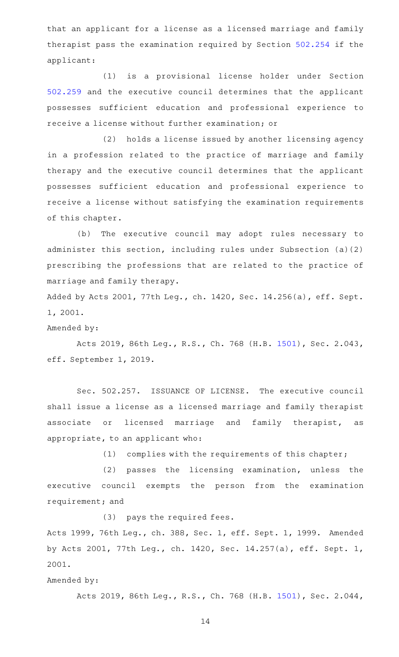that an applicant for a license as a licensed marriage and family therapist pass the examination required by Section [502.254](http://www.statutes.legis.state.tx.us/GetStatute.aspx?Code=OC&Value=502.254) if the applicant:

(1) is a provisional license holder under Section [502.259](http://www.statutes.legis.state.tx.us/GetStatute.aspx?Code=OC&Value=502.259) and the executive council determines that the applicant possesses sufficient education and professional experience to receive a license without further examination; or

(2) holds a license issued by another licensing agency in a profession related to the practice of marriage and family therapy and the executive council determines that the applicant possesses sufficient education and professional experience to receive a license without satisfying the examination requirements of this chapter.

(b) The executive council may adopt rules necessary to administer this section, including rules under Subsection (a)(2) prescribing the professions that are related to the practice of marriage and family therapy.

Added by Acts 2001, 77th Leg., ch. 1420, Sec. 14.256(a), eff. Sept. 1, 2001.

Amended by:

Acts 2019, 86th Leg., R.S., Ch. 768 (H.B. [1501\)](http://www.legis.state.tx.us/tlodocs/86R/billtext/html/HB01501F.HTM), Sec. 2.043, eff. September 1, 2019.

Sec. 502.257. ISSUANCE OF LICENSE. The executive council shall issue a license as a licensed marriage and family therapist associate or licensed marriage and family therapist, as appropriate, to an applicant who:

 $(1)$  complies with the requirements of this chapter;

(2) passes the licensing examination, unless the executive council exempts the person from the examination requirement; and

(3) pays the required fees.

Acts 1999, 76th Leg., ch. 388, Sec. 1, eff. Sept. 1, 1999. Amended by Acts 2001, 77th Leg., ch. 1420, Sec. 14.257(a), eff. Sept. 1, 2001.

## Amended by:

Acts 2019, 86th Leg., R.S., Ch. 768 (H.B. [1501\)](http://www.legis.state.tx.us/tlodocs/86R/billtext/html/HB01501F.HTM), Sec. 2.044,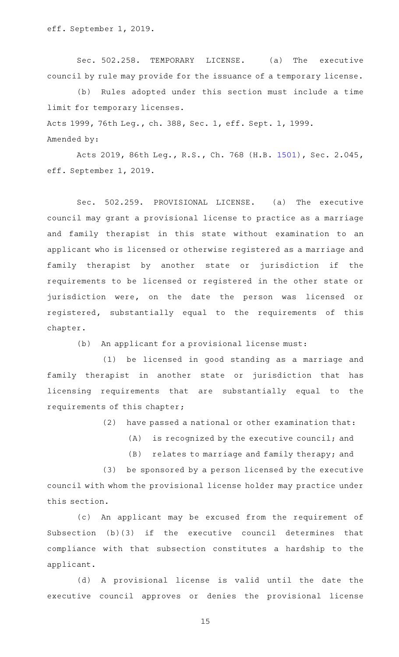Sec. 502.258. TEMPORARY LICENSE. (a) The executive council by rule may provide for the issuance of a temporary license.

(b) Rules adopted under this section must include a time limit for temporary licenses.

Acts 1999, 76th Leg., ch. 388, Sec. 1, eff. Sept. 1, 1999.

Amended by:

Acts 2019, 86th Leg., R.S., Ch. 768 (H.B. [1501\)](http://www.legis.state.tx.us/tlodocs/86R/billtext/html/HB01501F.HTM), Sec. 2.045, eff. September 1, 2019.

Sec. 502.259. PROVISIONAL LICENSE. (a) The executive council may grant a provisional license to practice as a marriage and family therapist in this state without examination to an applicant who is licensed or otherwise registered as a marriage and family therapist by another state or jurisdiction if the requirements to be licensed or registered in the other state or jurisdiction were, on the date the person was licensed or registered, substantially equal to the requirements of this chapter.

(b) An applicant for a provisional license must:

(1) be licensed in good standing as a marriage and family therapist in another state or jurisdiction that has licensing requirements that are substantially equal to the requirements of this chapter;

 $(2)$  have passed a national or other examination that:

 $(A)$  is recognized by the executive council; and

(B) relates to marriage and family therapy; and

(3) be sponsored by a person licensed by the executive council with whom the provisional license holder may practice under this section.

(c) An applicant may be excused from the requirement of Subsection (b)(3) if the executive council determines that compliance with that subsection constitutes a hardship to the applicant.

(d) A provisional license is valid until the date the executive council approves or denies the provisional license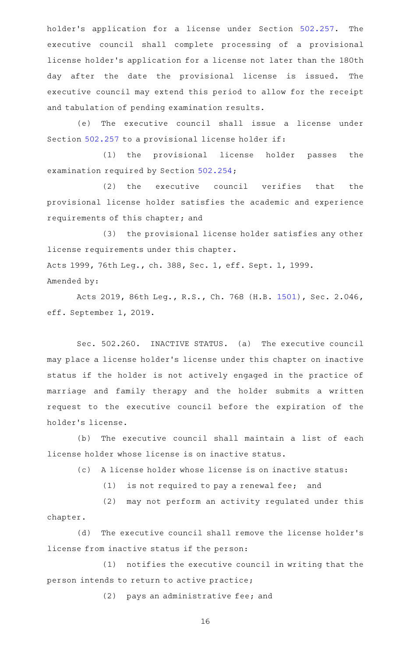holder's application for a license under Section [502.257.](http://www.statutes.legis.state.tx.us/GetStatute.aspx?Code=OC&Value=502.257) The executive council shall complete processing of a provisional license holder 's application for a license not later than the 180th day after the date the provisional license is issued. The executive council may extend this period to allow for the receipt and tabulation of pending examination results.

(e) The executive council shall issue a license under Section [502.257](http://www.statutes.legis.state.tx.us/GetStatute.aspx?Code=OC&Value=502.257) to a provisional license holder if:

(1) the provisional license holder passes the examination required by Section [502.254](http://www.statutes.legis.state.tx.us/GetStatute.aspx?Code=OC&Value=502.254);

(2) the executive council verifies that the provisional license holder satisfies the academic and experience requirements of this chapter; and

(3) the provisional license holder satisfies any other license requirements under this chapter. Acts 1999, 76th Leg., ch. 388, Sec. 1, eff. Sept. 1, 1999. Amended by:

Acts 2019, 86th Leg., R.S., Ch. 768 (H.B. [1501\)](http://www.legis.state.tx.us/tlodocs/86R/billtext/html/HB01501F.HTM), Sec. 2.046, eff. September 1, 2019.

Sec. 502.260. INACTIVE STATUS. (a) The executive council may place a license holder 's license under this chapter on inactive status if the holder is not actively engaged in the practice of marriage and family therapy and the holder submits a written request to the executive council before the expiration of the holder 's license.

(b) The executive council shall maintain a list of each license holder whose license is on inactive status.

(c) A license holder whose license is on inactive status:

 $(1)$  is not required to pay a renewal fee; and

(2) may not perform an activity regulated under this chapter.

(d) The executive council shall remove the license holder's license from inactive status if the person:

 $(1)$  notifies the executive council in writing that the person intends to return to active practice;

 $(2)$  pays an administrative fee; and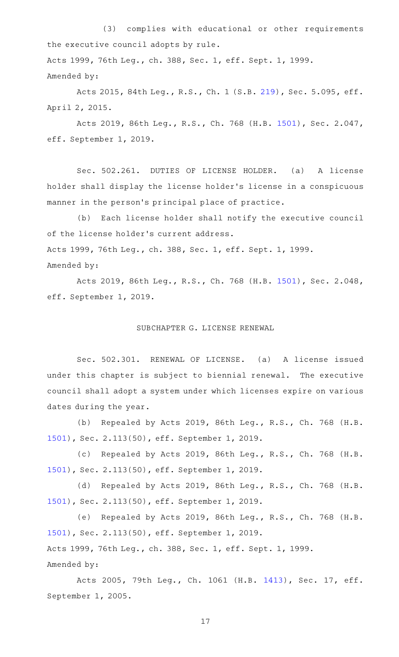(3) complies with educational or other requirements the executive council adopts by rule.

Acts 1999, 76th Leg., ch. 388, Sec. 1, eff. Sept. 1, 1999. Amended by:

Acts 2015, 84th Leg., R.S., Ch. 1 (S.B. [219](http://www.legis.state.tx.us/tlodocs/84R/billtext/html/SB00219F.HTM)), Sec. 5.095, eff. April 2, 2015.

Acts 2019, 86th Leg., R.S., Ch. 768 (H.B. [1501\)](http://www.legis.state.tx.us/tlodocs/86R/billtext/html/HB01501F.HTM), Sec. 2.047, eff. September 1, 2019.

Sec. 502.261. DUTIES OF LICENSE HOLDER. (a) A license holder shall display the license holder 's license in a conspicuous manner in the person's principal place of practice.

(b) Each license holder shall notify the executive council of the license holder 's current address. Acts 1999, 76th Leg., ch. 388, Sec. 1, eff. Sept. 1, 1999. Amended by:

Acts 2019, 86th Leg., R.S., Ch. 768 (H.B. [1501\)](http://www.legis.state.tx.us/tlodocs/86R/billtext/html/HB01501F.HTM), Sec. 2.048, eff. September 1, 2019.

## SUBCHAPTER G. LICENSE RENEWAL

Sec. 502.301. RENEWAL OF LICENSE. (a) A license issued under this chapter is subject to biennial renewal. The executive council shall adopt a system under which licenses expire on various dates during the year.

(b) Repealed by Acts 2019, 86th Leg., R.S., Ch. 768 (H.B. [1501](http://www.legis.state.tx.us/tlodocs/86R/billtext/html/HB01501F.HTM)), Sec. 2.113(50), eff. September 1, 2019.

(c) Repealed by Acts 2019, 86th Leg., R.S., Ch. 768 (H.B. [1501](http://www.legis.state.tx.us/tlodocs/86R/billtext/html/HB01501F.HTM)), Sec. 2.113(50), eff. September 1, 2019.

(d) Repealed by Acts 2019, 86th Leg., R.S., Ch. 768 (H.B. [1501](http://www.legis.state.tx.us/tlodocs/86R/billtext/html/HB01501F.HTM)), Sec. 2.113(50), eff. September 1, 2019.

(e) Repealed by Acts 2019, 86th Leg., R.S., Ch. 768 (H.B. [1501](http://www.legis.state.tx.us/tlodocs/86R/billtext/html/HB01501F.HTM)), Sec. 2.113(50), eff. September 1, 2019. Acts 1999, 76th Leg., ch. 388, Sec. 1, eff. Sept. 1, 1999. Amended by:

Acts 2005, 79th Leg., Ch. 1061 (H.B. [1413](http://www.legis.state.tx.us/tlodocs/79R/billtext/html/HB01413F.HTM)), Sec. 17, eff. September 1, 2005.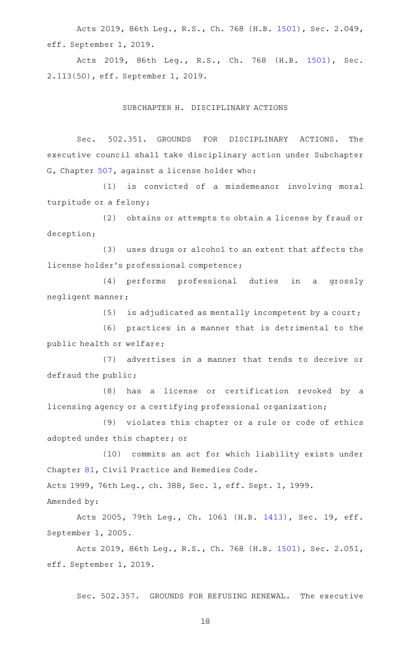Acts 2019, 86th Leg., R.S., Ch. 768 (H.B. [1501\)](http://www.legis.state.tx.us/tlodocs/86R/billtext/html/HB01501F.HTM), Sec. 2.049, eff. September 1, 2019.

Acts 2019, 86th Leg., R.S., Ch. 768 (H.B. [1501\)](http://www.legis.state.tx.us/tlodocs/86R/billtext/html/HB01501F.HTM), Sec. 2.113(50), eff. September 1, 2019.

#### SUBCHAPTER H. DISCIPLINARY ACTIONS

Sec. 502.351. GROUNDS FOR DISCIPLINARY ACTIONS. The executive council shall take disciplinary action under Subchapter G, Chapter [507,](http://www.statutes.legis.state.tx.us/GetStatute.aspx?Code=OC&Value=507) against a license holder who:

(1) is convicted of a misdemeanor involving moral turpitude or a felony;

(2) obtains or attempts to obtain a license by fraud or deception;

(3) uses drugs or alcohol to an extent that affects the license holder 's professional competence;

(4) performs professional duties in a grossly negligent manner;

(5) is adjudicated as mentally incompetent by a court;

 $(6)$  practices in a manner that is detrimental to the public health or welfare;

(7) advertises in a manner that tends to deceive or defraud the public;

(8) has a license or certification revoked by a licensing agency or a certifying professional organization;

(9) violates this chapter or a rule or code of ethics adopted under this chapter; or

(10) commits an act for which liability exists under Chapter [81,](http://www.statutes.legis.state.tx.us/GetStatute.aspx?Code=CP&Value=81) Civil Practice and Remedies Code.

Acts 1999, 76th Leg., ch. 388, Sec. 1, eff. Sept. 1, 1999.

Amended by:

Acts 2005, 79th Leg., Ch. 1061 (H.B. [1413](http://www.legis.state.tx.us/tlodocs/79R/billtext/html/HB01413F.HTM)), Sec. 19, eff. September 1, 2005.

Acts 2019, 86th Leg., R.S., Ch. 768 (H.B. [1501\)](http://www.legis.state.tx.us/tlodocs/86R/billtext/html/HB01501F.HTM), Sec. 2.051, eff. September 1, 2019.

Sec. 502.357. GROUNDS FOR REFUSING RENEWAL. The executive